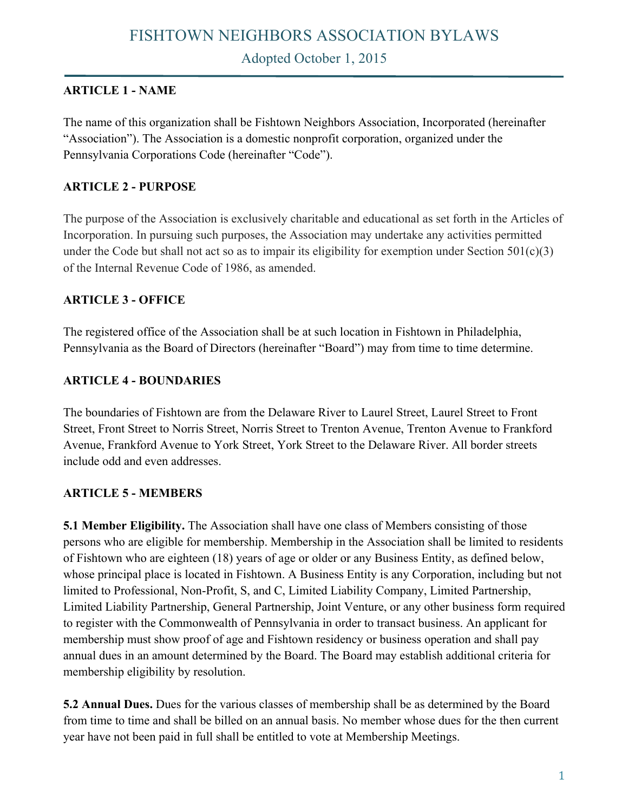Adopted October 1, 2015

#### **ARTICLE 1 - NAME**

The name of this organization shall be Fishtown Neighbors Association, Incorporated (hereinafter "Association"). The Association is a domestic nonprofit corporation, organized under the Pennsylvania Corporations Code (hereinafter "Code").

#### **ARTICLE 2 - PURPOSE**

The purpose of the Association is exclusively charitable and educational as set forth in the Articles of Incorporation. In pursuing such purposes, the Association may undertake any activities permitted under the Code but shall not act so as to impair its eligibility for exemption under Section  $501(c)(3)$ of the Internal Revenue Code of 1986, as amended.

#### **ARTICLE 3 - OFFICE**

The registered office of the Association shall be at such location in Fishtown in Philadelphia, Pennsylvania as the Board of Directors (hereinafter "Board") may from time to time determine.

#### **ARTICLE 4 - BOUNDARIES**

The boundaries of Fishtown are from the Delaware River to Laurel Street, Laurel Street to Front Street, Front Street to Norris Street, Norris Street to Trenton Avenue, Trenton Avenue to Frankford Avenue, Frankford Avenue to York Street, York Street to the Delaware River. All border streets include odd and even addresses.

#### **ARTICLE 5 - MEMBERS**

**5.1 Member Eligibility.** The Association shall have one class of Members consisting of those persons who are eligible for membership. Membership in the Association shall be limited to residents of Fishtown who are eighteen (18) years of age or older or any Business Entity, as defined below, whose principal place is located in Fishtown. A Business Entity is any Corporation, including but not limited to Professional, Non-Profit, S, and C, Limited Liability Company, Limited Partnership, Limited Liability Partnership, General Partnership, Joint Venture, or any other business form required to register with the Commonwealth of Pennsylvania in order to transact business. An applicant for membership must show proof of age and Fishtown residency or business operation and shall pay annual dues in an amount determined by the Board. The Board may establish additional criteria for membership eligibility by resolution.

**5.2 Annual Dues.** Dues for the various classes of membership shall be as determined by the Board from time to time and shall be billed on an annual basis. No member whose dues for the then current year have not been paid in full shall be entitled to vote at Membership Meetings.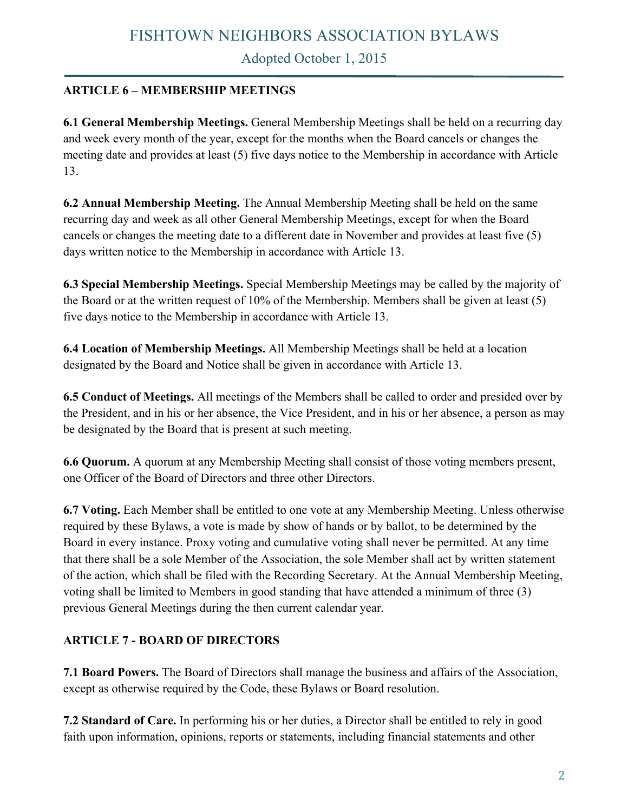Adopted October 1, 2015

#### **ARTICLE 6 – MEMBERSHIP MEETINGS**

**6.1 General Membership Meetings.** General Membership Meetings shall be held on a recurring day and week every month of the year, except for the months when the Board cancels or changes the meeting date and provides at least (5) five days notice to the Membership in accordance with Article 13.

**6.2 Annual Membership Meeting.** The Annual Membership Meeting shall be held on the same recurring day and week as all other General Membership Meetings, except for when the Board cancels or changes the meeting date to a different date in November and provides at least five (5) days written notice to the Membership in accordance with Article 13.

**6.3 Special Membership Meetings.** Special Membership Meetings may be called by the majority of the Board or at the written request of 10% of the Membership. Members shall be given at least (5) five days notice to the Membership in accordance with Article 13.

**6.4 Location of Membership Meetings.** All Membership Meetings shall be held at a location designated by the Board and Notice shall be given in accordance with Article 13.

**6.5 Conduct of Meetings.** All meetings of the Members shall be called to order and presided over by the President, and in his or her absence, the Vice President, and in his or her absence, a person as may be designated by the Board that is present at such meeting.

**6.6 Quorum.** A quorum at any Membership Meeting shall consist of those voting members present, one Officer of the Board of Directors and three other Directors.

**6.7 Voting.** Each Member shall be entitled to one vote at any Membership Meeting. Unless otherwise required by these Bylaws, a vote is made by show of hands or by ballot, to be determined by the Board in every instance. Proxy voting and cumulative voting shall never be permitted. At any time that there shall be a sole Member of the Association, the sole Member shall act by written statement of the action, which shall be filed with the Recording Secretary. At the Annual Membership Meeting, voting shall be limited to Members in good standing that have attended a minimum of three (3) previous General Meetings during the then current calendar year.

#### **ARTICLE 7 - BOARD OF DIRECTORS**

**7.1 Board Powers.** The Board of Directors shall manage the business and affairs of the Association, except as otherwise required by the Code, these Bylaws or Board resolution.

**7.2 Standard of Care.** In performing his or her duties, a Director shall be entitled to rely in good faith upon information, opinions, reports or statements, including financial statements and other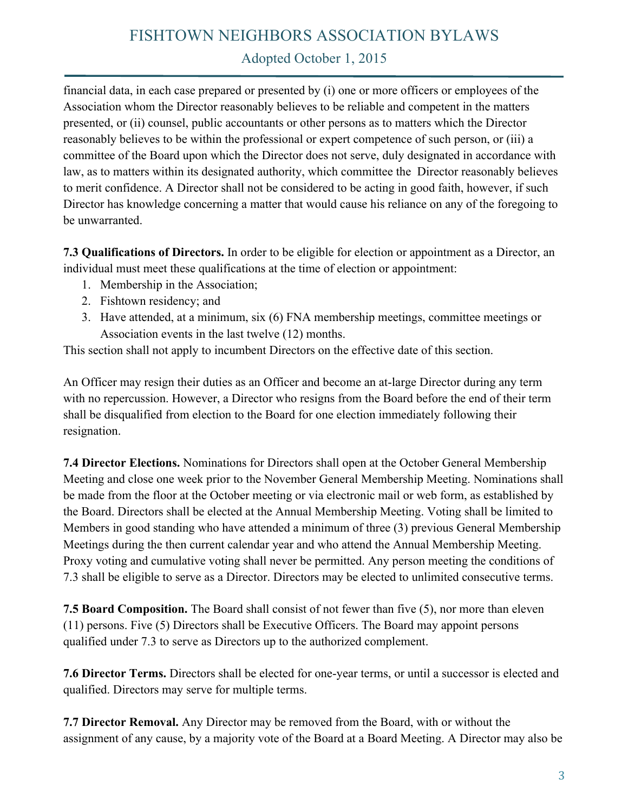#### Adopted October 1, 2015

financial data, in each case prepared or presented by (i) one or more officers or employees of the Association whom the Director reasonably believes to be reliable and competent in the matters presented, or (ii) counsel, public accountants or other persons as to matters which the Director reasonably believes to be within the professional or expert competence of such person, or (iii) a committee of the Board upon which the Director does not serve, duly designated in accordance with law, as to matters within its designated authority, which committee the Director reasonably believes to merit confidence. A Director shall not be considered to be acting in good faith, however, if such Director has knowledge concerning a matter that would cause his reliance on any of the foregoing to be unwarranted.

**7.3 Qualifications of Directors.** In order to be eligible for election or appointment as a Director, an individual must meet these qualifications at the time of election or appointment:

- 1. Membership in the Association;
- 2. Fishtown residency; and
- 3. Have attended, at a minimum, six (6) FNA membership meetings, committee meetings or Association events in the last twelve (12) months.

This section shall not apply to incumbent Directors on the effective date of this section.

An Officer may resign their duties as an Officer and become an at-large Director during any term with no repercussion. However, a Director who resigns from the Board before the end of their term shall be disqualified from election to the Board for one election immediately following their resignation.

**7.4 Director Elections.** Nominations for Directors shall open at the October General Membership Meeting and close one week prior to the November General Membership Meeting. Nominations shall be made from the floor at the October meeting or via electronic mail or web form, as established by the Board. Directors shall be elected at the Annual Membership Meeting. Voting shall be limited to Members in good standing who have attended a minimum of three (3) previous General Membership Meetings during the then current calendar year and who attend the Annual Membership Meeting. Proxy voting and cumulative voting shall never be permitted. Any person meeting the conditions of 7.3 shall be eligible to serve as a Director. Directors may be elected to unlimited consecutive terms.

**7.5 Board Composition.** The Board shall consist of not fewer than five (5), nor more than eleven (11) persons. Five (5) Directors shall be Executive Officers. The Board may appoint persons qualified under 7.3 to serve as Directors up to the authorized complement.

**7.6 Director Terms.** Directors shall be elected for one-year terms, or until a successor is elected and qualified. Directors may serve for multiple terms.

**7.7 Director Removal.** Any Director may be removed from the Board, with or without the assignment of any cause, by a majority vote of the Board at a Board Meeting. A Director may also be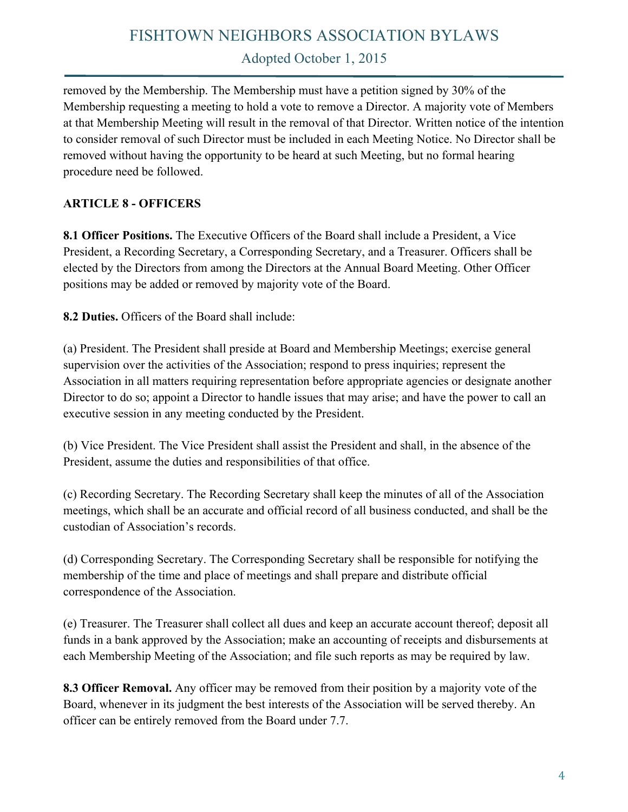Adopted October 1, 2015

removed by the Membership. The Membership must have a petition signed by 30% of the Membership requesting a meeting to hold a vote to remove a Director. A majority vote of Members at that Membership Meeting will result in the removal of that Director. Written notice of the intention to consider removal of such Director must be included in each Meeting Notice. No Director shall be removed without having the opportunity to be heard at such Meeting, but no formal hearing procedure need be followed.

#### **ARTICLE 8 - OFFICERS**

**8.1 Officer Positions.** The Executive Officers of the Board shall include a President, a Vice President, a Recording Secretary, a Corresponding Secretary, and a Treasurer. Officers shall be elected by the Directors from among the Directors at the Annual Board Meeting. Other Officer positions may be added or removed by majority vote of the Board.

**8.2 Duties.** Officers of the Board shall include:

(a) President. The President shall preside at Board and Membership Meetings; exercise general supervision over the activities of the Association; respond to press inquiries; represent the Association in all matters requiring representation before appropriate agencies or designate another Director to do so; appoint a Director to handle issues that may arise; and have the power to call an executive session in any meeting conducted by the President.

(b) Vice President. The Vice President shall assist the President and shall, in the absence of the President, assume the duties and responsibilities of that office.

(c) Recording Secretary. The Recording Secretary shall keep the minutes of all of the Association meetings, which shall be an accurate and official record of all business conducted, and shall be the custodian of Association's records.

(d) Corresponding Secretary. The Corresponding Secretary shall be responsible for notifying the membership of the time and place of meetings and shall prepare and distribute official correspondence of the Association.

(e) Treasurer. The Treasurer shall collect all dues and keep an accurate account thereof; deposit all funds in a bank approved by the Association; make an accounting of receipts and disbursements at each Membership Meeting of the Association; and file such reports as may be required by law.

**8.3 Officer Removal.** Any officer may be removed from their position by a majority vote of the Board, whenever in its judgment the best interests of the Association will be served thereby. An officer can be entirely removed from the Board under 7.7.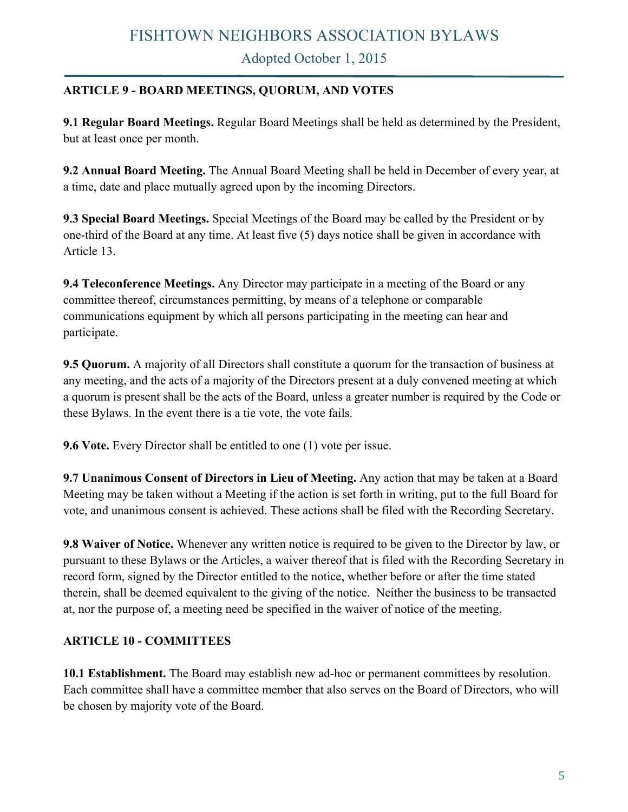Adopted October 1, 2015

#### **ARTICLE 9 - BOARD MEETINGS, QUORUM, AND VOTES**

**9.1 Regular Board Meetings.** Regular Board Meetings shall be held as determined by the President, but at least once per month.

**9.2 Annual Board Meeting.** The Annual Board Meeting shall be held in December of every year, at a time, date and place mutually agreed upon by the incoming Directors.

**9.3 Special Board Meetings.** Special Meetings of the Board may be called by the President or by one-third of the Board at any time. At least five (5) days notice shall be given in accordance with Article 13.

**9.4 Teleconference Meetings.** Any Director may participate in a meeting of the Board or any committee thereof, circumstances permitting, by means of a telephone or comparable communications equipment by which all persons participating in the meeting can hear and participate.

**9.5 Quorum.** A majority of all Directors shall constitute a quorum for the transaction of business at any meeting, and the acts of a majority of the Directors present at a duly convened meeting at which a quorum is present shall be the acts of the Board, unless a greater number is required by the Code or these Bylaws. In the event there is a tie vote, the vote fails.

**9.6 Vote.** Every Director shall be entitled to one (1) vote per issue.

**9.7 Unanimous Consent of Directors in Lieu of Meeting.** Any action that may be taken at a Board Meeting may be taken without a Meeting if the action is set forth in writing, put to the full Board for vote, and unanimous consent is achieved. These actions shall be filed with the Recording Secretary.

**9.8 Waiver of Notice.** Whenever any written notice is required to be given to the Director by law, or pursuant to these Bylaws or the Articles, a waiver thereof that is filed with the Recording Secretary in record form, signed by the Director entitled to the notice, whether before or after the time stated therein, shall be deemed equivalent to the giving of the notice. Neither the business to be transacted at, nor the purpose of, a meeting need be specified in the waiver of notice of the meeting.

#### **ARTICLE 10 - COMMITTEES**

**10.1 Establishment.** The Board may establish new ad-hoc or permanent committees by resolution. Each committee shall have a committee member that also serves on the Board of Directors, who will be chosen by majority vote of the Board.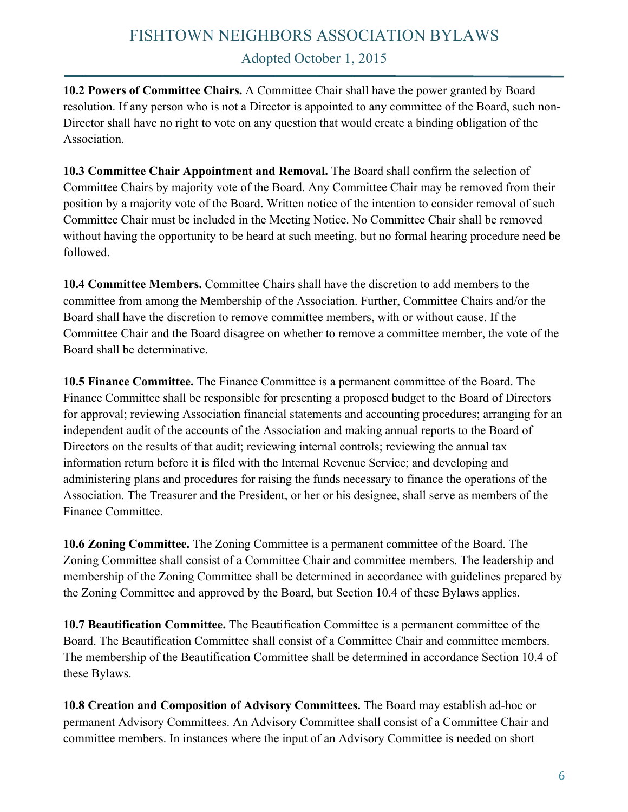#### Adopted October 1, 2015

**10.2 Powers of Committee Chairs.** A Committee Chair shall have the power granted by Board resolution. If any person who is not a Director is appointed to any committee of the Board, such non-Director shall have no right to vote on any question that would create a binding obligation of the **Association** 

**10.3 Committee Chair Appointment and Removal.** The Board shall confirm the selection of Committee Chairs by majority vote of the Board. Any Committee Chair may be removed from their position by a majority vote of the Board. Written notice of the intention to consider removal of such Committee Chair must be included in the Meeting Notice. No Committee Chair shall be removed without having the opportunity to be heard at such meeting, but no formal hearing procedure need be followed.

**10.4 Committee Members.** Committee Chairs shall have the discretion to add members to the committee from among the Membership of the Association. Further, Committee Chairs and/or the Board shall have the discretion to remove committee members, with or without cause. If the Committee Chair and the Board disagree on whether to remove a committee member, the vote of the Board shall be determinative.

**10.5 Finance Committee.** The Finance Committee is a permanent committee of the Board. The Finance Committee shall be responsible for presenting a proposed budget to the Board of Directors for approval; reviewing Association financial statements and accounting procedures; arranging for an independent audit of the accounts of the Association and making annual reports to the Board of Directors on the results of that audit; reviewing internal controls; reviewing the annual tax information return before it is filed with the Internal Revenue Service; and developing and administering plans and procedures for raising the funds necessary to finance the operations of the Association. The Treasurer and the President, or her or his designee, shall serve as members of the Finance Committee.

**10.6 Zoning Committee.** The Zoning Committee is a permanent committee of the Board. The Zoning Committee shall consist of a Committee Chair and committee members. The leadership and membership of the Zoning Committee shall be determined in accordance with guidelines prepared by the Zoning Committee and approved by the Board, but Section 10.4 of these Bylaws applies.

**10.7 Beautification Committee.** The Beautification Committee is a permanent committee of the Board. The Beautification Committee shall consist of a Committee Chair and committee members. The membership of the Beautification Committee shall be determined in accordance Section 10.4 of these Bylaws.

**10.8 Creation and Composition of Advisory Committees.** The Board may establish ad-hoc or permanent Advisory Committees. An Advisory Committee shall consist of a Committee Chair and committee members. In instances where the input of an Advisory Committee is needed on short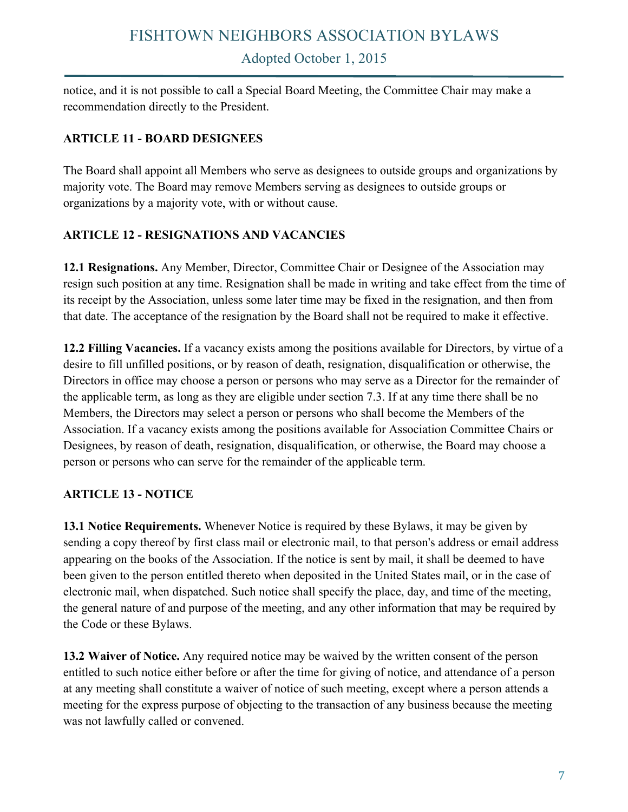### FISHTOWN NEIGHBORS ASSOCIATION BYLAWS Adopted October 1, 2015

notice, and it is not possible to call a Special Board Meeting, the Committee Chair may make a recommendation directly to the President.

#### **ARTICLE 11 - BOARD DESIGNEES**

The Board shall appoint all Members who serve as designees to outside groups and organizations by majority vote. The Board may remove Members serving as designees to outside groups or organizations by a majority vote, with or without cause.

#### **ARTICLE 12 - RESIGNATIONS AND VACANCIES**

**12.1 Resignations.** Any Member, Director, Committee Chair or Designee of the Association may resign such position at any time. Resignation shall be made in writing and take effect from the time of its receipt by the Association, unless some later time may be fixed in the resignation, and then from that date. The acceptance of the resignation by the Board shall not be required to make it effective.

**12.2 Filling Vacancies.** If a vacancy exists among the positions available for Directors, by virtue of a desire to fill unfilled positions, or by reason of death, resignation, disqualification or otherwise, the Directors in office may choose a person or persons who may serve as a Director for the remainder of the applicable term, as long as they are eligible under section 7.3. If at any time there shall be no Members, the Directors may select a person or persons who shall become the Members of the Association. If a vacancy exists among the positions available for Association Committee Chairs or Designees, by reason of death, resignation, disqualification, or otherwise, the Board may choose a person or persons who can serve for the remainder of the applicable term.

#### **ARTICLE 13 - NOTICE**

**13.1 Notice Requirements.** Whenever Notice is required by these Bylaws, it may be given by sending a copy thereof by first class mail or electronic mail, to that person's address or email address appearing on the books of the Association. If the notice is sent by mail, it shall be deemed to have been given to the person entitled thereto when deposited in the United States mail, or in the case of electronic mail, when dispatched. Such notice shall specify the place, day, and time of the meeting, the general nature of and purpose of the meeting, and any other information that may be required by the Code or these Bylaws.

**13.2 Waiver of Notice.** Any required notice may be waived by the written consent of the person entitled to such notice either before or after the time for giving of notice, and attendance of a person at any meeting shall constitute a waiver of notice of such meeting, except where a person attends a meeting for the express purpose of objecting to the transaction of any business because the meeting was not lawfully called or convened.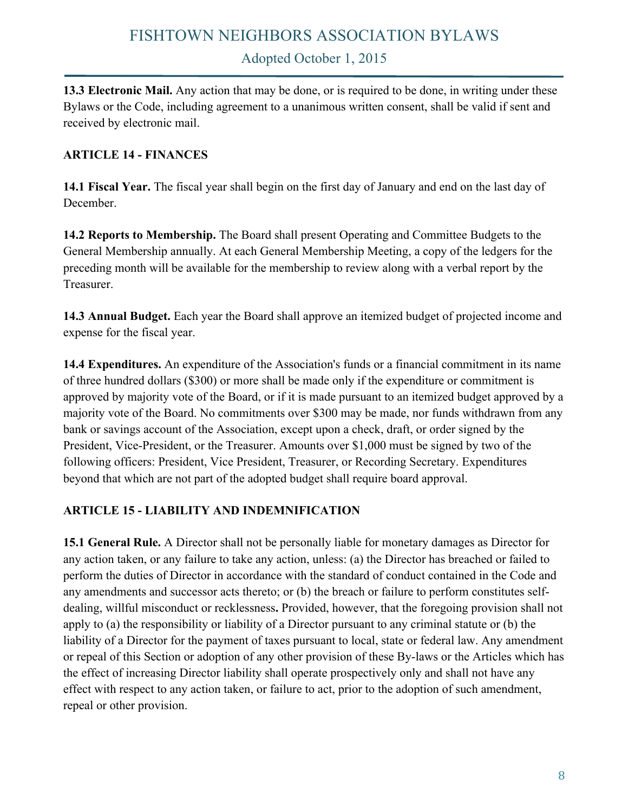#### Adopted October 1, 2015

**13.3 Electronic Mail.** Any action that may be done, or is required to be done, in writing under these Bylaws or the Code, including agreement to a unanimous written consent, shall be valid if sent and received by electronic mail.

#### **ARTICLE 14 - FINANCES**

**14.1 Fiscal Year.** The fiscal year shall begin on the first day of January and end on the last day of December.

**14.2 Reports to Membership.** The Board shall present Operating and Committee Budgets to the General Membership annually. At each General Membership Meeting, a copy of the ledgers for the preceding month will be available for the membership to review along with a verbal report by the Treasurer.

**14.3 Annual Budget.** Each year the Board shall approve an itemized budget of projected income and expense for the fiscal year.

**14.4 Expenditures.** An expenditure of the Association's funds or a financial commitment in its name of three hundred dollars (\$300) or more shall be made only if the expenditure or commitment is approved by majority vote of the Board, or if it is made pursuant to an itemized budget approved by a majority vote of the Board. No commitments over \$300 may be made, nor funds withdrawn from any bank or savings account of the Association, except upon a check, draft, or order signed by the President, Vice-President, or the Treasurer. Amounts over \$1,000 must be signed by two of the following officers: President, Vice President, Treasurer, or Recording Secretary. Expenditures beyond that which are not part of the adopted budget shall require board approval.

#### **ARTICLE 15 - LIABILITY AND INDEMNIFICATION**

**15.1 General Rule.** A Director shall not be personally liable for monetary damages as Director for any action taken, or any failure to take any action, unless: (a) the Director has breached or failed to perform the duties of Director in accordance with the standard of conduct contained in the Code and any amendments and successor acts thereto; or (b) the breach or failure to perform constitutes selfdealing, willful misconduct or recklessness**.** Provided, however, that the foregoing provision shall not apply to (a) the responsibility or liability of a Director pursuant to any criminal statute or (b) the liability of a Director for the payment of taxes pursuant to local, state or federal law. Any amendment or repeal of this Section or adoption of any other provision of these By-laws or the Articles which has the effect of increasing Director liability shall operate prospectively only and shall not have any effect with respect to any action taken, or failure to act, prior to the adoption of such amendment, repeal or other provision.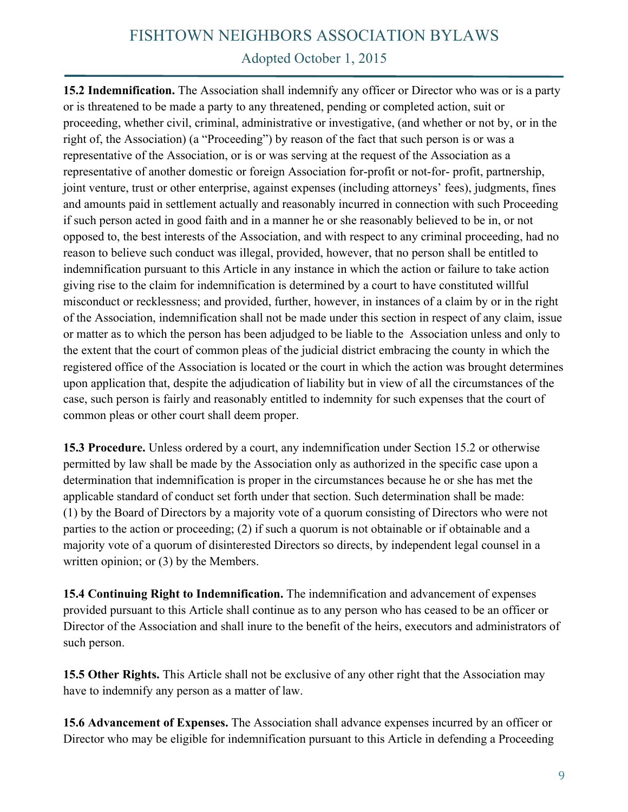Adopted October 1, 2015

**15.2 Indemnification.** The Association shall indemnify any officer or Director who was or is a party or is threatened to be made a party to any threatened, pending or completed action, suit or proceeding, whether civil, criminal, administrative or investigative, (and whether or not by, or in the right of, the Association) (a "Proceeding") by reason of the fact that such person is or was a representative of the Association, or is or was serving at the request of the Association as a representative of another domestic or foreign Association for-profit or not-for- profit, partnership, joint venture, trust or other enterprise, against expenses (including attorneys' fees), judgments, fines and amounts paid in settlement actually and reasonably incurred in connection with such Proceeding if such person acted in good faith and in a manner he or she reasonably believed to be in, or not opposed to, the best interests of the Association, and with respect to any criminal proceeding, had no reason to believe such conduct was illegal, provided, however, that no person shall be entitled to indemnification pursuant to this Article in any instance in which the action or failure to take action giving rise to the claim for indemnification is determined by a court to have constituted willful misconduct or recklessness; and provided, further, however, in instances of a claim by or in the right of the Association, indemnification shall not be made under this section in respect of any claim, issue or matter as to which the person has been adjudged to be liable to the Association unless and only to the extent that the court of common pleas of the judicial district embracing the county in which the registered office of the Association is located or the court in which the action was brought determines upon application that, despite the adjudication of liability but in view of all the circumstances of the case, such person is fairly and reasonably entitled to indemnity for such expenses that the court of common pleas or other court shall deem proper.

**15.3 Procedure.** Unless ordered by a court, any indemnification under Section 15.2 or otherwise permitted by law shall be made by the Association only as authorized in the specific case upon a determination that indemnification is proper in the circumstances because he or she has met the applicable standard of conduct set forth under that section. Such determination shall be made: (1) by the Board of Directors by a majority vote of a quorum consisting of Directors who were not parties to the action or proceeding; (2) if such a quorum is not obtainable or if obtainable and a majority vote of a quorum of disinterested Directors so directs, by independent legal counsel in a written opinion; or (3) by the Members.

**15.4 Continuing Right to Indemnification.** The indemnification and advancement of expenses provided pursuant to this Article shall continue as to any person who has ceased to be an officer or Director of the Association and shall inure to the benefit of the heirs, executors and administrators of such person.

**15.5 Other Rights.** This Article shall not be exclusive of any other right that the Association may have to indemnify any person as a matter of law.

**15.6 Advancement of Expenses.** The Association shall advance expenses incurred by an officer or Director who may be eligible for indemnification pursuant to this Article in defending a Proceeding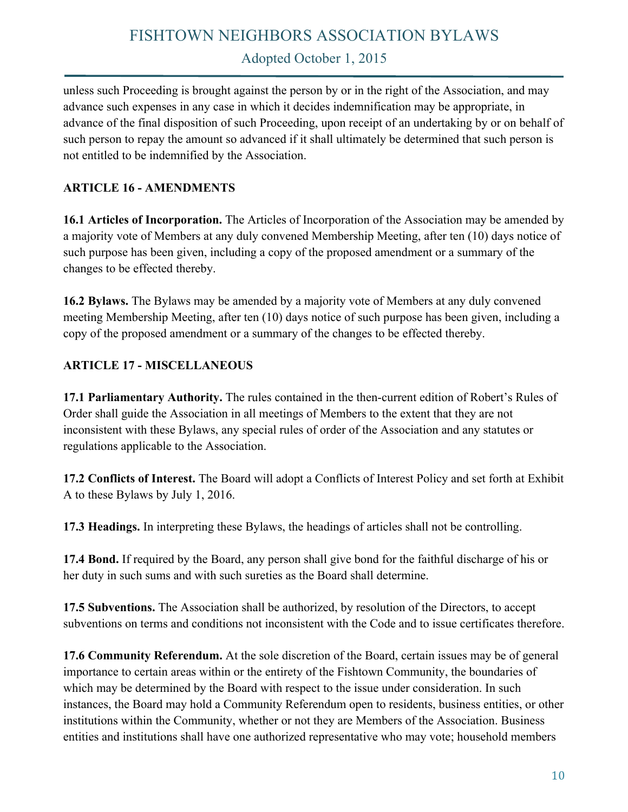#### Adopted October 1, 2015

unless such Proceeding is brought against the person by or in the right of the Association, and may advance such expenses in any case in which it decides indemnification may be appropriate, in advance of the final disposition of such Proceeding, upon receipt of an undertaking by or on behalf of such person to repay the amount so advanced if it shall ultimately be determined that such person is not entitled to be indemnified by the Association.

#### **ARTICLE 16 - AMENDMENTS**

**16.1 Articles of Incorporation.** The Articles of Incorporation of the Association may be amended by a majority vote of Members at any duly convened Membership Meeting, after ten (10) days notice of such purpose has been given, including a copy of the proposed amendment or a summary of the changes to be effected thereby.

**16.2 Bylaws.** The Bylaws may be amended by a majority vote of Members at any duly convened meeting Membership Meeting, after ten (10) days notice of such purpose has been given, including a copy of the proposed amendment or a summary of the changes to be effected thereby.

#### **ARTICLE 17 - MISCELLANEOUS**

**17.1 Parliamentary Authority.** The rules contained in the then-current edition of Robert's Rules of Order shall guide the Association in all meetings of Members to the extent that they are not inconsistent with these Bylaws, any special rules of order of the Association and any statutes or regulations applicable to the Association.

**17.2 Conflicts of Interest.** The Board will adopt a Conflicts of Interest Policy and set forth at Exhibit A to these Bylaws by July 1, 2016.

**17.3 Headings.** In interpreting these Bylaws, the headings of articles shall not be controlling.

**17.4 Bond.** If required by the Board, any person shall give bond for the faithful discharge of his or her duty in such sums and with such sureties as the Board shall determine.

**17.5 Subventions.** The Association shall be authorized, by resolution of the Directors, to accept subventions on terms and conditions not inconsistent with the Code and to issue certificates therefore.

**17.6 Community Referendum.** At the sole discretion of the Board, certain issues may be of general importance to certain areas within or the entirety of the Fishtown Community, the boundaries of which may be determined by the Board with respect to the issue under consideration. In such instances, the Board may hold a Community Referendum open to residents, business entities, or other institutions within the Community, whether or not they are Members of the Association. Business entities and institutions shall have one authorized representative who may vote; household members